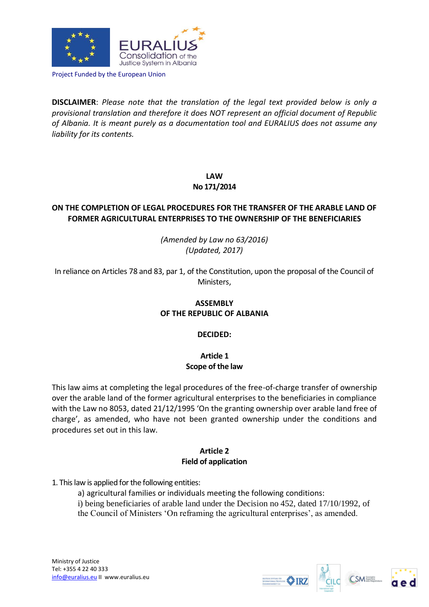

Project Funded by the European Union

**DISCLAIMER**: *Please note that the translation of the legal text provided below is only a provisional translation and therefore it does NOT represent an official document of Republic of Albania. It is meant purely as a documentation tool and EURALIUS does not assume any liability for its contents.*

**LAW** 

## **No 171/2014**

# **ON THE COMPLETION OF LEGAL PROCEDURES FOR THE TRANSFER OF THE ARABLE LAND OF FORMER AGRICULTURAL ENTERPRISES TO THE OWNERSHIP OF THE BENEFICIARIES**

*(Amended by Law no 63/2016) (Updated, 2017)*

In reliance on Articles 78 and 83, par 1, of the Constitution, upon the proposal of the Council of Ministers,

# **ASSEMBLY OF THE REPUBLIC OF ALBANIA**

## **DECIDED:**

# **Article 1 Scope of the law**

This law aims at completing the legal procedures of the free-of-charge transfer of ownership over the arable land of the former agricultural enterprises to the beneficiaries in compliance with the Law no 8053, dated 21/12/1995 'On the granting ownership over arable land free of charge', as amended, who have not been granted ownership under the conditions and procedures set out in this law.

# **Article 2 Field of application**

## 1. This law is applied for the following entities:

a) agricultural families or individuals meeting the following conditions: i) being beneficiaries of arable land under the Decision no 452, dated 17/10/1992, of the Council of Ministers 'On reframing the agricultural enterprises', as amended.





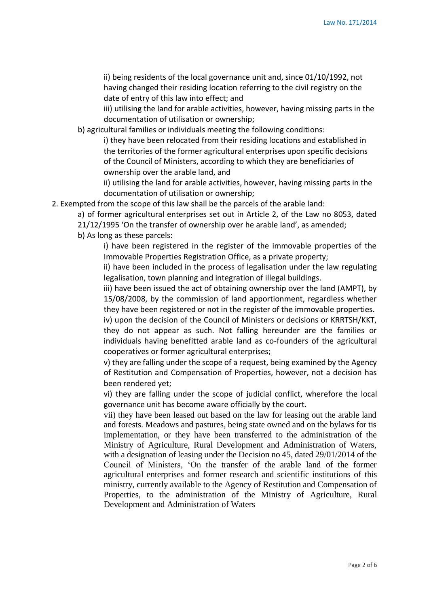ii) being residents of the local governance unit and, since 01/10/1992, not having changed their residing location referring to the civil registry on the date of entry of this law into effect; and

iii) utilising the land for arable activities, however, having missing parts in the documentation of utilisation or ownership;

b) agricultural families or individuals meeting the following conditions:

i) they have been relocated from their residing locations and established in the territories of the former agricultural enterprises upon specific decisions of the Council of Ministers, according to which they are beneficiaries of ownership over the arable land, and

ii) utilising the land for arable activities, however, having missing parts in the documentation of utilisation or ownership;

2. Exempted from the scope of this law shall be the parcels of the arable land:

a) of former agricultural enterprises set out in Article 2, of the Law no 8053, dated 21/12/1995 'On the transfer of ownership over he arable land', as amended;

b) As long as these parcels:

i) have been registered in the register of the immovable properties of the Immovable Properties Registration Office, as a private property;

ii) have been included in the process of legalisation under the law regulating legalisation, town planning and integration of illegal buildings.

iii) have been issued the act of obtaining ownership over the land (AMPT), by 15/08/2008, by the commission of land apportionment, regardless whether they have been registered or not in the register of the immovable properties.

iv) upon the decision of the Council of Ministers or decisions or KRRTSH/KKT, they do not appear as such. Not falling hereunder are the families or individuals having benefitted arable land as co-founders of the agricultural cooperatives or former agricultural enterprises;

v) they are falling under the scope of a request, being examined by the Agency of Restitution and Compensation of Properties, however, not a decision has been rendered yet;

vi) they are falling under the scope of judicial conflict, wherefore the local governance unit has become aware officially by the court.

vii) they have been leased out based on the law for leasing out the arable land and forests. Meadows and pastures, being state owned and on the bylaws for tis implementation, or they have been transferred to the administration of the Ministry of Agriculture, Rural Development and Administration of Waters, with a designation of leasing under the Decision no 45, dated 29/01/2014 of the Council of Ministers, 'On the transfer of the arable land of the former agricultural enterprises and former research and scientific institutions of this ministry, currently available to the Agency of Restitution and Compensation of Properties, to the administration of the Ministry of Agriculture, Rural Development and Administration of Waters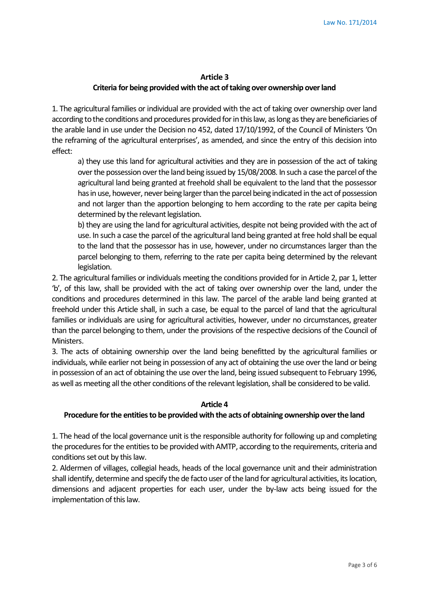#### **Article 3**

### **Criteria for being provided with the act of taking over ownership over land**

1. The agricultural families or individual are provided with the act of taking over ownership over land according to the conditions and procedures provided for in this law, as long as they are beneficiaries of the arable land in use under the Decision no 452, dated 17/10/1992, of the Council of Ministers 'On the reframing of the agricultural enterprises', as amended, and since the entry of this decision into effect:

a) they use this land for agricultural activities and they are in possession of the act of taking over the possession over the land being issued by 15/08/2008. In such a case the parcel of the agricultural land being granted at freehold shall be equivalent to the land that the possessor has in use, however, never being larger than the parcel being indicated in the act of possession and not larger than the apportion belonging to hem according to the rate per capita being determined by the relevant legislation.

b) they are using the land for agricultural activities, despite not being provided with the act of use. In such a case the parcel of the agricultural land being granted at free hold shall be equal to the land that the possessor has in use, however, under no circumstances larger than the parcel belonging to them, referring to the rate per capita being determined by the relevant legislation.

2. The agricultural families or individuals meeting the conditions provided for in Article 2, par 1, letter 'b', of this law, shall be provided with the act of taking over ownership over the land, under the conditions and procedures determined in this law. The parcel of the arable land being granted at freehold under this Article shall, in such a case, be equal to the parcel of land that the agricultural families or individuals are using for agricultural activities, however, under no circumstances, greater than the parcel belonging to them, under the provisions of the respective decisions of the Council of Ministers.

3. The acts of obtaining ownership over the land being benefitted by the agricultural families or individuals, while earlier not being in possession of any act of obtaining the use over the land or being in possession of an act of obtaining the use over the land, being issued subsequent to February 1996, as well as meeting all the other conditions of the relevant legislation, shall be considered to be valid.

#### **Article 4**

### **Procedure for the entities to be provided with the acts of obtaining ownership over the land**

1. The head of the local governance unit is the responsible authority for following up and completing the procedures for the entities to be provided with AMTP, according to the requirements, criteria and conditions set out by this law.

2. Aldermen of villages, collegial heads, heads of the local governance unit and their administration shall identify, determine and specify the de facto user of the land for agricultural activities, its location, dimensions and adjacent properties for each user, under the by-law acts being issued for the implementation of this law.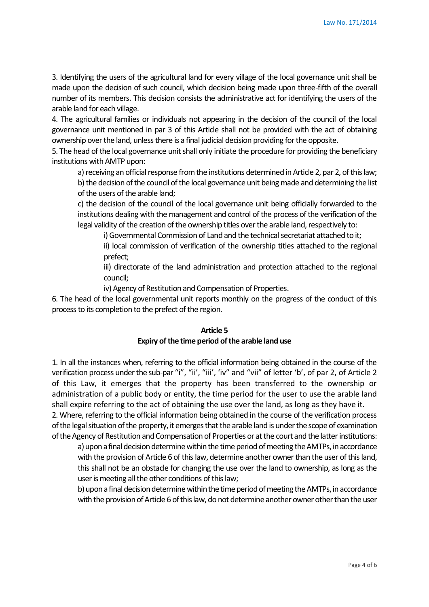3. Identifying the users of the agricultural land for every village of the local governance unit shall be made upon the decision of such council, which decision being made upon three-fifth of the overall number of its members. This decision consists the administrative act for identifying the users of the arable land for each village.

4. The agricultural families or individuals not appearing in the decision of the council of the local governance unit mentioned in par 3 of this Article shall not be provided with the act of obtaining ownership over the land, unless there is a final judicial decision providing for the opposite.

5. The head of the local governance unit shall only initiate the procedure for providing the beneficiary institutions with AMTP upon:

a) receiving an official response from the institutions determined in Article 2, par 2, of this law; b) the decision of the council of the local governance unit being made and determining the list of the users of the arable land;

c) the decision of the council of the local governance unit being officially forwarded to the institutions dealing with the management and control of the process of the verification of the legal validity of the creation of the ownership titles over the arable land, respectively to:

i) Governmental Commission of Land and the technical secretariat attached to it;

ii) local commission of verification of the ownership titles attached to the regional prefect;

iii) directorate of the land administration and protection attached to the regional council;

iv) Agency of Restitution and Compensation of Properties.

6. The head of the local governmental unit reports monthly on the progress of the conduct of this process to its completion to the prefect of the region.

## **Article 5 Expiry of the time period of the arable land use**

1. In all the instances when, referring to the official information being obtained in the course of the verification process under the sub-par "i", "ii', "iii', 'iv" and "vii" of letter 'b', of par 2, of Article 2 of this Law, it emerges that the property has been transferred to the ownership or administration of a public body or entity, the time period for the user to use the arable land shall expire referring to the act of obtaining the use over the land, as long as they have it.

2. Where, referring to the official information being obtained in the course of the verification process of the legal situation of the property, it emerges that the arable land is under the scope of examination of the Agency of Restitution and Compensation of Properties or at the court and the latter institutions:

a) upon a final decision determine within the time period of meeting the AMTPs, in accordance with the provision of Article 6 of this law, determine another owner than the user of this land, this shall not be an obstacle for changing the use over the land to ownership, as long as the user is meeting all the other conditions of this law;

b) upon a final decision determine within the time period of meeting the AMTPs, in accordance with the provision of Article 6 of this law, do not determine another owner other than the user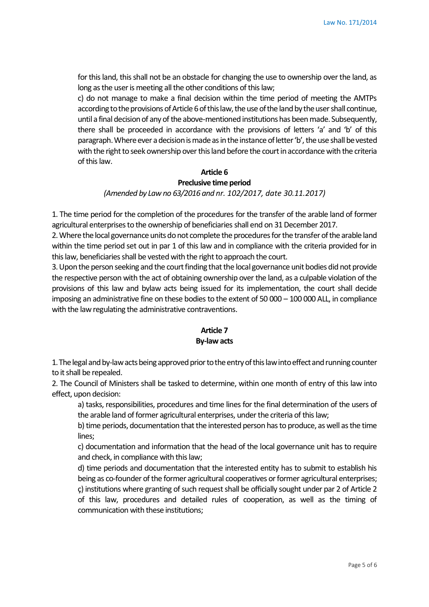for this land, this shall not be an obstacle for changing the use to ownership over the land, as long as the user is meeting all the other conditions of this law;

c) do not manage to make a final decision within the time period of meeting the AMTPs according to the provisions of Article 6 of this law, the use of the land by the user shall continue, until a final decision of any of the above-mentioned institutions has been made. Subsequently, there shall be proceeded in accordance with the provisions of letters 'a' and 'b' of this paragraph. Where ever a decision is made as in the instance of letter 'b', the use shall be vested with the right to seek ownership over this land before the court in accordance with the criteria of this law.

# **Article 6**

### **Preclusive time period**

### *(Amended by Law no 63/2016 and nr. 102/2017, date 30.11.2017)*

1. The time period for the completion of the procedures for the transfer of the arable land of former agricultural enterprises to the ownership of beneficiaries shall end on 31 December 2017.

2. Where the local governance units do not complete the procedures for the transfer of the arable land within the time period set out in par 1 of this law and in compliance with the criteria provided for in this law, beneficiaries shall be vested with the right to approach the court.

3. Upon the person seeking and the court finding that the local governance unit bodies did not provide the respective person with the act of obtaining ownership over the land, as a culpable violation of the provisions of this law and bylaw acts being issued for its implementation, the court shall decide imposing an administrative fine on these bodies to the extent of 50 000 – 100 000 ALL, in compliance with the law regulating the administrative contraventions.

## **Article 7 By-law acts**

1. The legal and by-law acts being approved prior to the entry of this law into effect and running counter to it shall be repealed.

2. The Council of Ministers shall be tasked to determine, within one month of entry of this law into effect, upon decision:

a) tasks, responsibilities, procedures and time lines for the final determination of the users of the arable land of former agricultural enterprises, under the criteria of this law;

b) time periods, documentation that the interested person has to produce, as well as the time lines;

c) documentation and information that the head of the local governance unit has to require and check, in compliance with this law;

d) time periods and documentation that the interested entity has to submit to establish his being as co-founder of the former agricultural cooperatives or former agricultural enterprises; ç) institutions where granting of such request shall be officially sought under par 2 of Article 2 of this law, procedures and detailed rules of cooperation, as well as the timing of communication with these institutions;